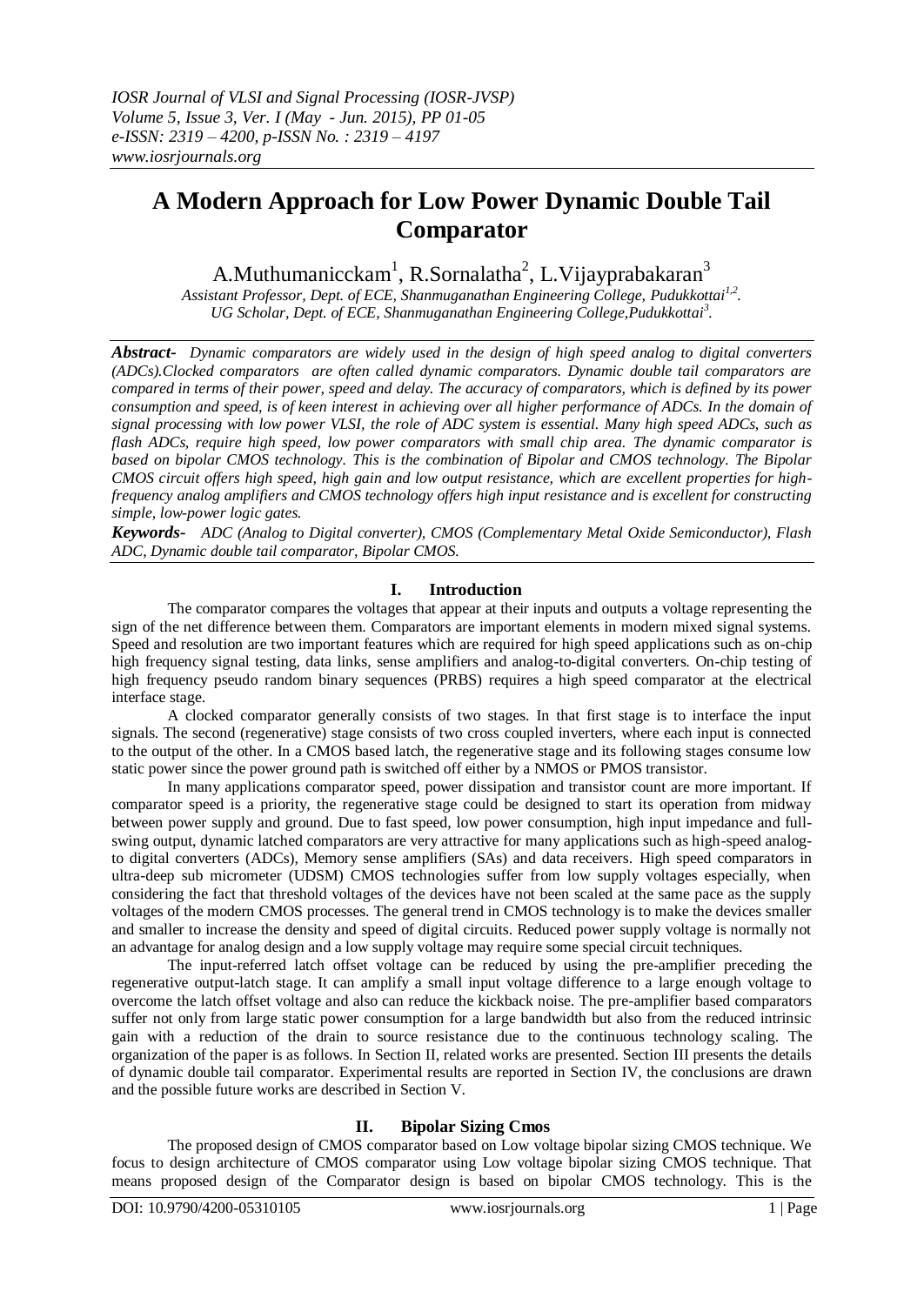# **A Modern Approach for Low Power Dynamic Double Tail Comparator**

A.Muthumanicckam<sup>1</sup>, R.Sornalatha<sup>2</sup>, L.Vijayprabakaran<sup>3</sup>

*Assistant Professor, Dept. of ECE, Shanmuganathan Engineering College, Pudukkottai1,2 . UG Scholar, Dept. of ECE, Shanmuganathan Engineering College,Pudukkottai<sup>3</sup> .*

*Abstract- Dynamic comparators are widely used in the design of high speed analog to digital converters (ADCs).Clocked comparators are often called dynamic comparators. Dynamic double tail comparators are compared in terms of their power, speed and delay. The accuracy of comparators, which is defined by its power consumption and speed, is of keen interest in achieving over all higher performance of ADCs. In the domain of signal processing with low power VLSI, the role of ADC system is essential. Many high speed ADCs, such as flash ADCs, require high speed, low power comparators with small chip area. The dynamic comparator is based on bipolar CMOS technology. This is the combination of Bipolar and CMOS technology. The Bipolar CMOS circuit offers high speed, high gain and low output resistance, which are excellent properties for highfrequency analog amplifiers and CMOS technology offers high input resistance and is excellent for constructing simple, low-power logic gates.*

*Keywords- ADC (Analog to Digital converter), CMOS (Complementary Metal Oxide Semiconductor), Flash ADC, Dynamic double tail comparator, Bipolar CMOS.*

## **I. Introduction**

The comparator compares the voltages that appear at their inputs and outputs a voltage representing the sign of the net difference between them. Comparators are important elements in modern mixed signal systems. Speed and resolution are two important features which are required for high speed applications such as on-chip high frequency signal testing, data links, sense amplifiers and analog-to-digital converters. On-chip testing of high frequency pseudo random binary sequences (PRBS) requires a high speed comparator at the electrical interface stage.

A clocked comparator generally consists of two stages. In that first stage is to interface the input signals. The second (regenerative) stage consists of two cross coupled inverters, where each input is connected to the output of the other. In a CMOS based latch, the regenerative stage and its following stages consume low static power since the power ground path is switched off either by a NMOS or PMOS transistor.

In many applications comparator speed, power dissipation and transistor count are more important. If comparator speed is a priority, the regenerative stage could be designed to start its operation from midway between power supply and ground. Due to fast speed, low power consumption, high input impedance and fullswing output, dynamic latched comparators are very attractive for many applications such as high-speed analogto digital converters (ADCs), Memory sense amplifiers (SAs) and data receivers. High speed comparators in ultra-deep sub micrometer (UDSM) CMOS technologies suffer from low supply voltages especially, when considering the fact that threshold voltages of the devices have not been scaled at the same pace as the supply voltages of the modern CMOS processes. The general trend in CMOS technology is to make the devices smaller and smaller to increase the density and speed of digital circuits. Reduced power supply voltage is normally not an advantage for analog design and a low supply voltage may require some special circuit techniques.

The input-referred latch offset voltage can be reduced by using the pre-amplifier preceding the regenerative output-latch stage. It can amplify a small input voltage difference to a large enough voltage to overcome the latch offset voltage and also can reduce the kickback noise. The pre-amplifier based comparators suffer not only from large static power consumption for a large bandwidth but also from the reduced intrinsic gain with a reduction of the drain to source resistance due to the continuous technology scaling. The organization of the paper is as follows. In Section II, related works are presented. Section III presents the details of dynamic double tail comparator. Experimental results are reported in Section IV, the conclusions are drawn and the possible future works are described in Section V.

## **II. Bipolar Sizing Cmos**

The proposed design of CMOS comparator based on Low voltage bipolar sizing CMOS technique. We focus to design architecture of CMOS comparator using Low voltage bipolar sizing CMOS technique. That means proposed design of the Comparator design is based on bipolar CMOS technology. This is the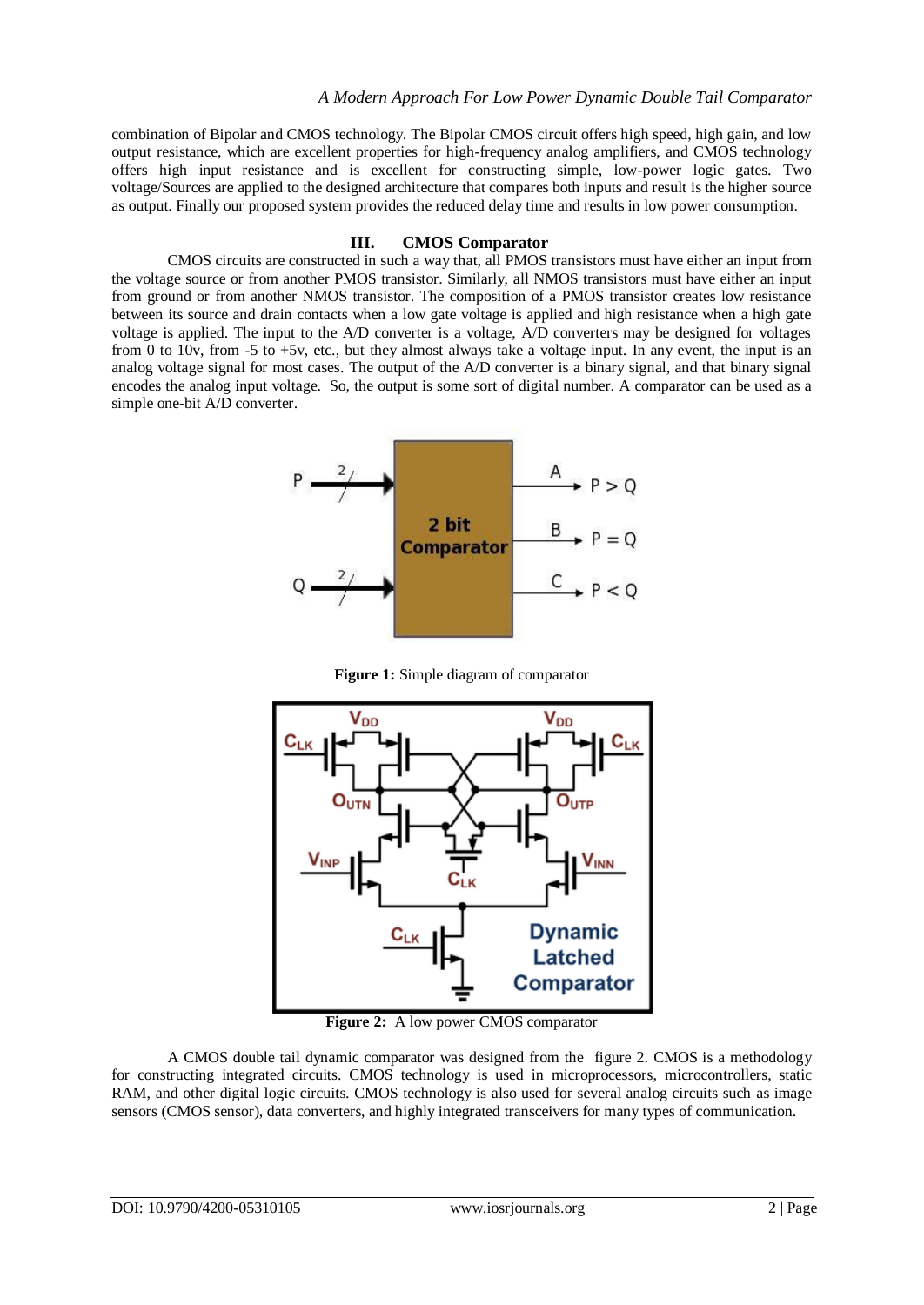combination of Bipolar and CMOS technology. The Bipolar CMOS circuit offers high speed, high gain, and low output resistance, which are excellent properties for high-frequency analog amplifiers, and CMOS technology offers high input resistance and is excellent for constructing simple, low-power logic gates. Two voltage/Sources are applied to the designed architecture that compares both inputs and result is the higher source as output. Finally our proposed system provides the reduced delay time and results in low power consumption.

## **III. CMOS Comparator**

CMOS circuits are constructed in such a way that, all PMOS transistors must have either an input from the voltage source or from another PMOS transistor. Similarly, all NMOS transistors must have either an input from ground or from another NMOS transistor. The composition of a PMOS transistor creates low resistance between its source and drain contacts when a low gate voltage is applied and high resistance when a high gate voltage is applied. The input to the A/D converter is a voltage, A/D converters may be designed for voltages from 0 to 10v, from -5 to +5v, etc., but they almost always take a voltage input. In any event, the input is an analog voltage signal for most cases. The output of the A/D converter is a binary signal, and that binary signal encodes the analog input voltage. So, the output is some sort of digital number. A comparator can be used as a simple one-bit A/D converter.



**Figure 1:** Simple diagram of comparator



**Figure 2:** A low power CMOS comparator

A CMOS double tail dynamic comparator was designed from the figure 2. CMOS is a methodology for constructing [integrated circuits.](http://en.wikipedia.org/wiki/Integrated_circuit) CMOS technology is used in [microprocessors,](http://en.wikipedia.org/wiki/Microprocessor) [microcontrollers,](http://en.wikipedia.org/wiki/Microcontroller) [static](http://en.wikipedia.org/wiki/Static_random-access_memory)  [RAM,](http://en.wikipedia.org/wiki/Static_random-access_memory) and other [digital logic](http://en.wikipedia.org/wiki/Digital_logic) circuits. CMOS technology is also used for several analog circuits such as [image](http://en.wikipedia.org/wiki/Image_sensor)  [sensors](http://en.wikipedia.org/wiki/Image_sensor) [\(CMOS sensor\)](http://en.wikipedia.org/wiki/CMOS_sensor), [data converters,](http://en.wikipedia.org/wiki/Data_conversion) and highly integrated [transceivers](http://en.wikipedia.org/wiki/Transceiver) for many types of communication.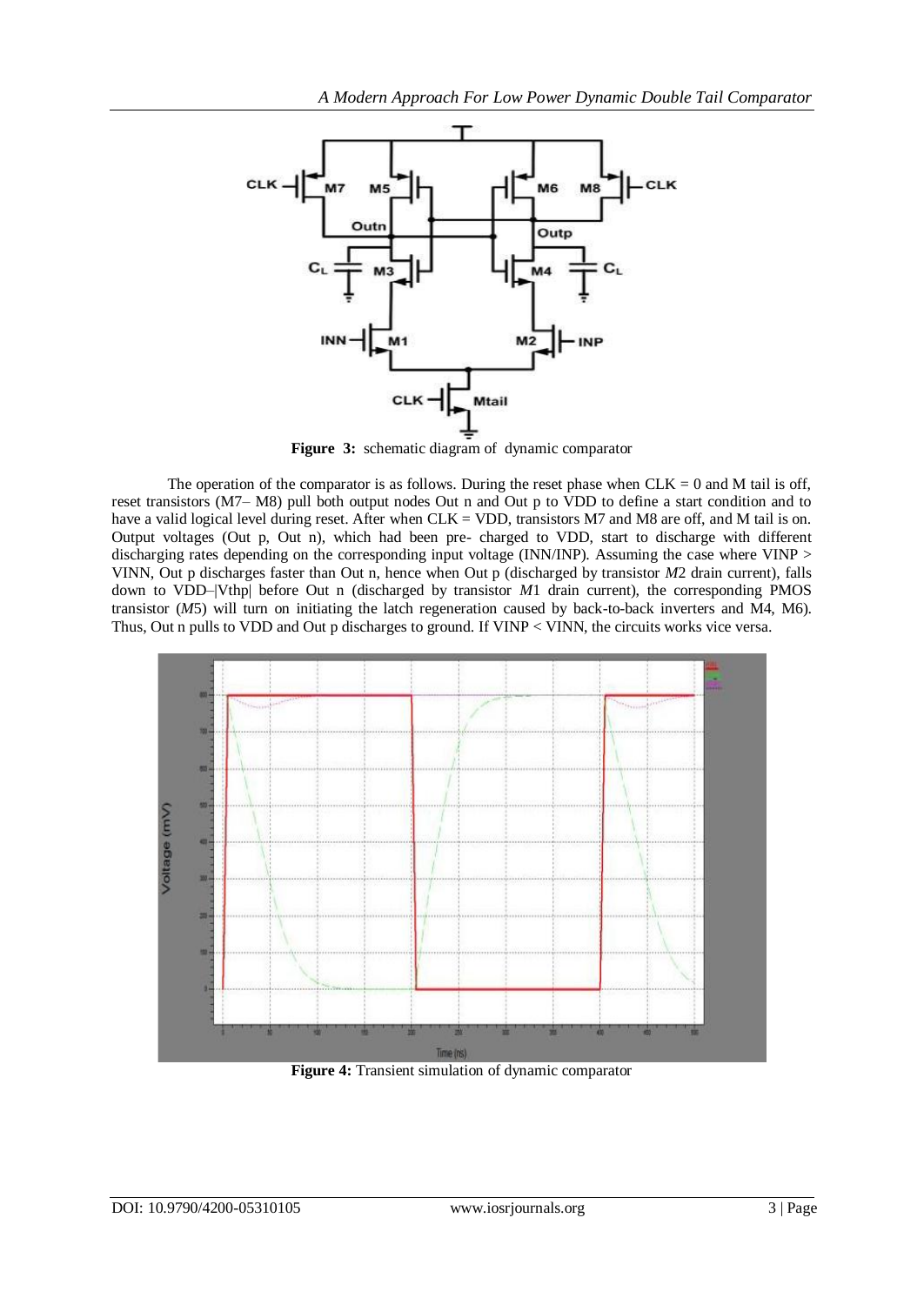

**Figure 3:** schematic diagram of dynamic comparator

The operation of the comparator is as follows. During the reset phase when  $CLK = 0$  and M tail is off, reset transistors (M7– M8) pull both output nodes Out n and Out p to VDD to define a start condition and to have a valid logical level during reset. After when CLK = VDD, transistors M7 and M8 are off, and M tail is on. Output voltages (Out p, Out n), which had been pre- charged to VDD, start to discharge with different discharging rates depending on the corresponding input voltage (INN/INP). Assuming the case where VINP > VINN, Out p discharges faster than Out n, hence when Out p (discharged by transistor *M*2 drain current), falls down to VDD–|Vthp| before Out n (discharged by transistor *M*1 drain current), the corresponding PMOS transistor (*M*5) will turn on initiating the latch regeneration caused by back-to-back inverters and M4, M6). Thus, Out n pulls to VDD and Out p discharges to ground. If VINP < VINN, the circuits works vice versa.



**Figure 4:** Transient simulation of dynamic comparator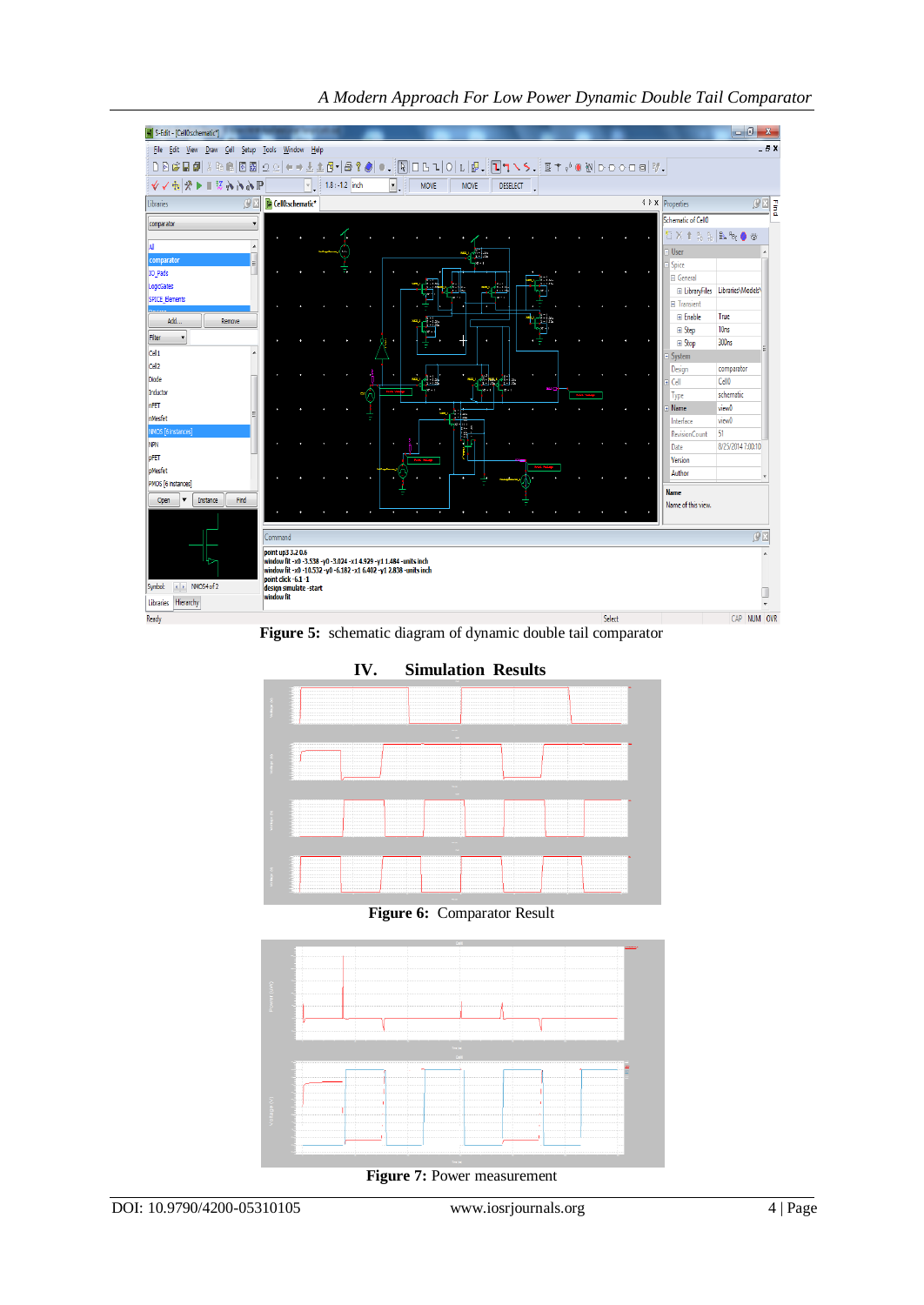

*A Modern Approach For Low Power Dynamic Double Tail Comparator*

**Figure 5:** schematic diagram of dynamic double tail comparator



**Figure 6:** Comparator Result



**Figure 7:** Power measurement